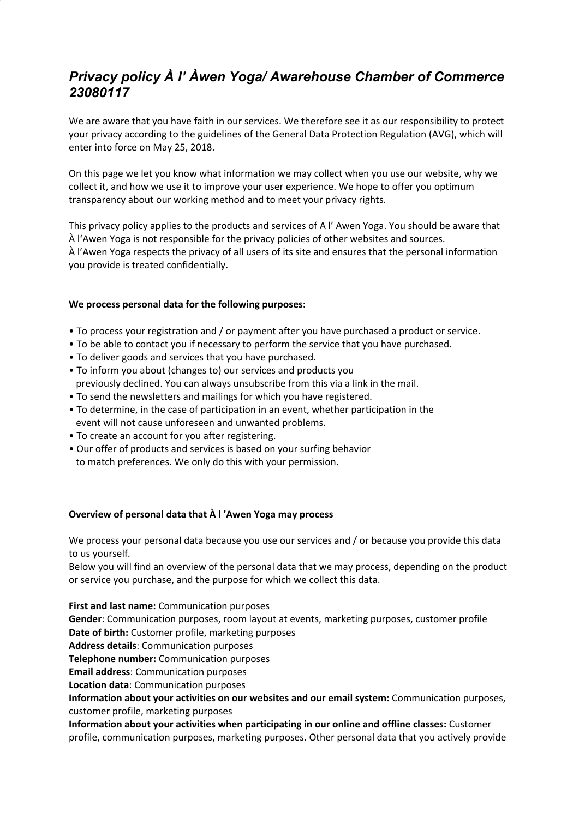# *Privacy policy À l' Àwen Yoga/ Awarehouse Chamber of Commerce 23080117*

We are aware that you have faith in our services. We therefore see it as our responsibility to protect your privacy according to the guidelines of the General Data Protection Regulation (AVG), which will enter into force on May 25, 2018.

On this page we let you know what information we may collect when you use our website, why we collect it, and how we use it to improve your user experience. We hope to offer you optimum transparency about our working method and to meet your privacy rights.

This privacy policy applies to the products and services of A l' Awen Yoga. You should be aware that À l'Awen Yoga is not responsible for the privacy policies of other websites and sources. À l'Awen Yoga respects the privacy of all users of its site and ensures that the personal information you provide is treated confidentially.

## **We process personal data for the following purposes:**

- To process your registration and / or payment after you have purchased a product or service.
- To be able to contact you if necessary to perform the service that you have purchased.
- To deliver goods and services that you have purchased.
- To inform you about (changes to) our services and products you previously declined. You can always unsubscribe from this via a link in the mail.
- To send the newsletters and mailings for which you have registered.
- To determine, in the case of participation in an event, whether participation in the event will not cause unforeseen and unwanted problems.
- To create an account for you after registering.
- Our offer of products and services is based on your surfing behavior to match preferences. We only do this with your permission.

## **Overview of personal data that À l 'Awen Yoga may process**

We process your personal data because you use our services and / or because you provide this data to us yourself.

Below you will find an overview of the personal data that we may process, depending on the product or service you purchase, and the purpose for which we collect this data.

**First and last name:** Communication purposes

**Gender**: Communication purposes, room layout at events, marketing purposes, customer profile **Date of birth:** Customer profile, marketing purposes

**Address details**: Communication purposes

**Telephone number:** Communication purposes

**Email address**: Communication purposes

**Location data**: Communication purposes

**Information about your activities on our websites and our email system:** Communication purposes, customer profile, marketing purposes

**Information about your activities when participating in our online and offline classes:** Customer profile, communication purposes, marketing purposes. Other personal data that you actively provide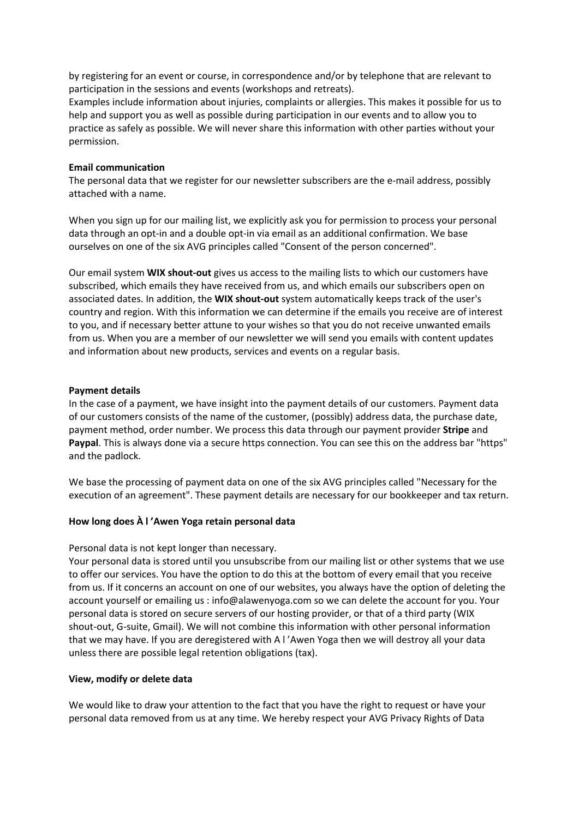by registering for an event or course, in correspondence and/or by telephone that are relevant to participation in the sessions and events (workshops and retreats).

Examples include information about injuries, complaints or allergies. This makes it possible for us to help and support you as well as possible during participation in our events and to allow you to practice as safely as possible. We will never share this information with other parties without your permission.

## **Email communication**

The personal data that we register for our newsletter subscribers are the e-mail address, possibly attached with a name.

When you sign up for our mailing list, we explicitly ask you for permission to process your personal data through an opt-in and a double opt-in via email as an additional confirmation. We base ourselves on one of the six AVG principles called "Consent of the person concerned".

Our email system **WIX shout-out** gives us access to the mailing lists to which our customers have subscribed, which emails they have received from us, and which emails our subscribers open on associated dates. In addition, the **WIX shout-out** system automatically keeps track of the user's country and region. With this information we can determine if the emails you receive are of interest to you, and if necessary better attune to your wishes so that you do not receive unwanted emails from us. When you are a member of our newsletter we will send you emails with content updates and information about new products, services and events on a regular basis.

### **Payment details**

In the case of a payment, we have insight into the payment details of our customers. Payment data of our customers consists of the name of the customer, (possibly) address data, the purchase date, payment method, order number. We process this data through our payment provider **Stripe** and **Paypal**. This is always done via a secure https connection. You can see this on the address bar "https" and the padlock.

We base the processing of payment data on one of the six AVG principles called "Necessary for the execution of an agreement". These payment details are necessary for our bookkeeper and tax return.

#### **How long does À l 'Awen Yoga retain personal data**

#### Personal data is not kept longer than necessary.

Your personal data is stored until you unsubscribe from our mailing list or other systems that we use to offer our services. You have the option to do this at the bottom of every email that you receive from us. If it concerns an account on one of our websites, you always have the option of deleting the account yourself or emailing us : info@alawenyoga.com so we can delete the account for you. Your personal data is stored on secure servers of our hosting provider, or that of a third party (WIX shout-out, G-suite, Gmail). We will not combine this information with other personal information that we may have. If you are deregistered with A l 'Awen Yoga then we will destroy all your data unless there are possible legal retention obligations (tax).

## **View, modify or delete data**

We would like to draw your attention to the fact that you have the right to request or have your personal data removed from us at any time. We hereby respect your AVG Privacy Rights of Data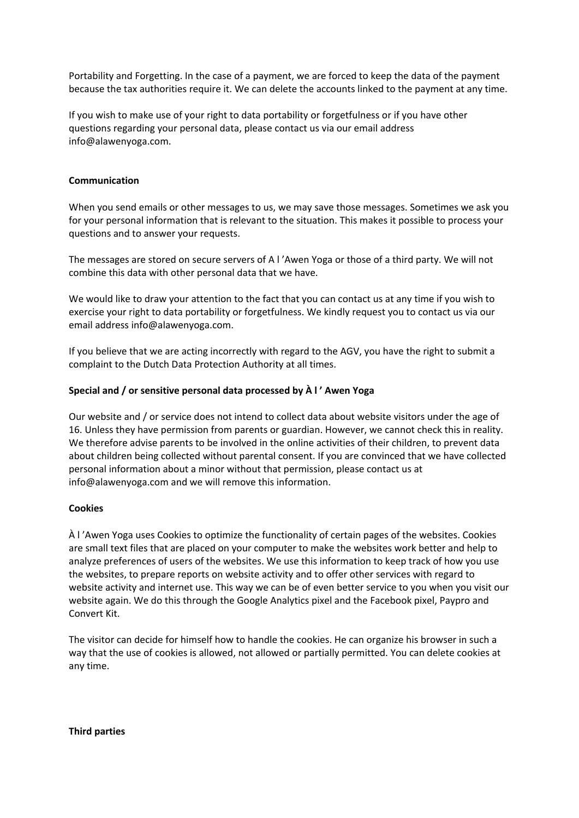Portability and Forgetting. In the case of a payment, we are forced to keep the data of the payment because the tax authorities require it. We can delete the accounts linked to the payment at any time.

If you wish to make use of your right to data portability or forgetfulness or if you have other questions regarding your personal data, please contact us via our email address info@alawenyoga.com.

## **Communication**

When you send emails or other messages to us, we may save those messages. Sometimes we ask you for your personal information that is relevant to the situation. This makes it possible to process your questions and to answer your requests.

The messages are stored on secure servers of A l 'Awen Yoga or those of a third party. We will not combine this data with other personal data that we have.

We would like to draw your attention to the fact that you can contact us at any time if you wish to exercise your right to data portability or forgetfulness. We kindly request you to contact us via our email address info@alawenyoga.com.

If you believe that we are acting incorrectly with regard to the AGV, you have the right to submit a complaint to the Dutch Data Protection Authority at all times.

## **Special and / or sensitive personal data processed by À l ' Awen Yoga**

Our website and / or service does not intend to collect data about website visitors under the age of 16. Unless they have permission from parents or guardian. However, we cannot check this in reality. We therefore advise parents to be involved in the online activities of their children, to prevent data about children being collected without parental consent. If you are convinced that we have collected personal information about a minor without that permission, please contact us at info@alawenyoga.com and we will remove this information.

#### **Cookies**

À l 'Awen Yoga uses Cookies to optimize the functionality of certain pages of the websites. Cookies are small text files that are placed on your computer to make the websites work better and help to analyze preferences of users of the websites. We use this information to keep track of how you use the websites, to prepare reports on website activity and to offer other services with regard to website activity and internet use. This way we can be of even better service to you when you visit our website again. We do this through the Google Analytics pixel and the Facebook pixel, Paypro and Convert Kit.

The visitor can decide for himself how to handle the cookies. He can organize his browser in such a way that the use of cookies is allowed, not allowed or partially permitted. You can delete cookies at any time.

**Third parties**